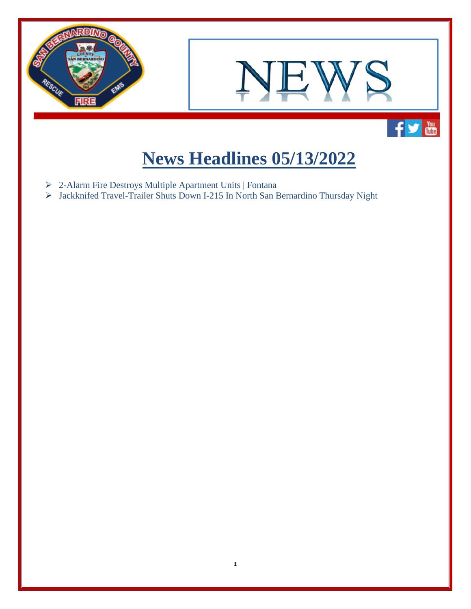

## **News Headlines 05/13/2022**

**1**

- 2-Alarm Fire Destroys Multiple Apartment Units | Fontana
- Jackknifed Travel-Trailer Shuts Down I-215 In North San Bernardino Thursday Night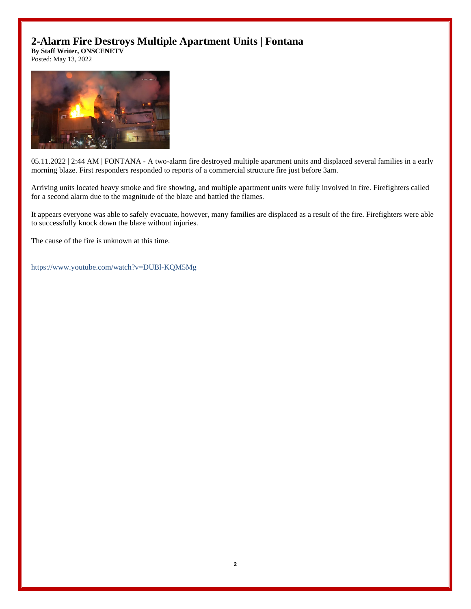## **2-Alarm Fire Destroys Multiple Apartment Units | Fontana**

**By Staff Writer, ONSCENETV**

Posted: May 13, 2022



05.11.2022 | 2:44 AM | FONTANA - A two-alarm fire destroyed multiple apartment units and displaced several families in a early morning blaze. First responders responded to reports of a commercial structure fire just before 3am.

Arriving units located heavy smoke and fire showing, and multiple apartment units were fully involved in fire. Firefighters called for a second alarm due to the magnitude of the blaze and battled the flames.

It appears everyone was able to safely evacuate, however, many families are displaced as a result of the fire. Firefighters were able to successfully knock down the blaze without injuries.

The cause of the fire is unknown at this time.

<https://www.youtube.com/watch?v=DUBl-KQM5Mg>